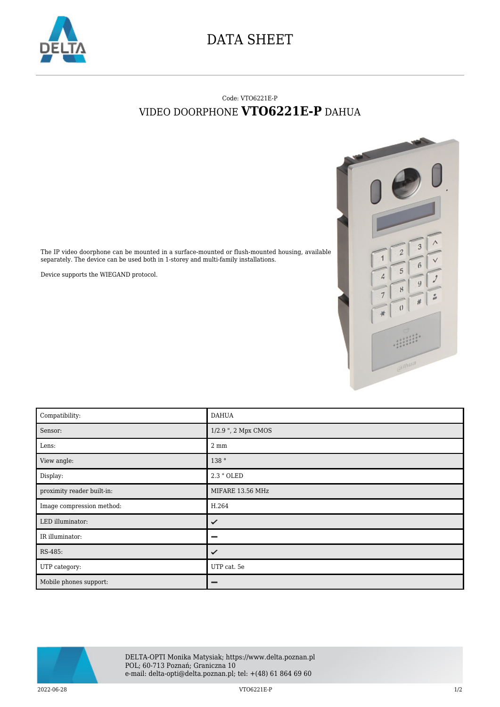

## DATA SHEET

## Code: VTO6221E-P VIDEO DOORPHONE **VTO6221E-P** DAHUA



The IP video doorphone can be mounted in a surface-mounted or flush-mounted housing, available separately. The device can be used both in 1-storey and multi-family installations.

Device supports the WIEGAND protocol.

| Compatibility:             | <b>DAHUA</b>        |
|----------------------------|---------------------|
| Sensor:                    | 1/2.9 ", 2 Mpx CMOS |
| Lens:                      | $2 \text{ mm}$      |
| View angle:                | 138 °               |
| Display:                   | 2.3 " OLED          |
| proximity reader built-in: | MIFARE 13.56 MHz    |
| Image compression method:  | H.264               |
| LED illuminator:           | ✓                   |
| IR illuminator:            |                     |
| RS-485:                    | ✓                   |
| UTP category:              | UTP cat. 5e         |
| Mobile phones support:     | -                   |



 $2022-06-28$   $VTO6221E-P$   $1/2$